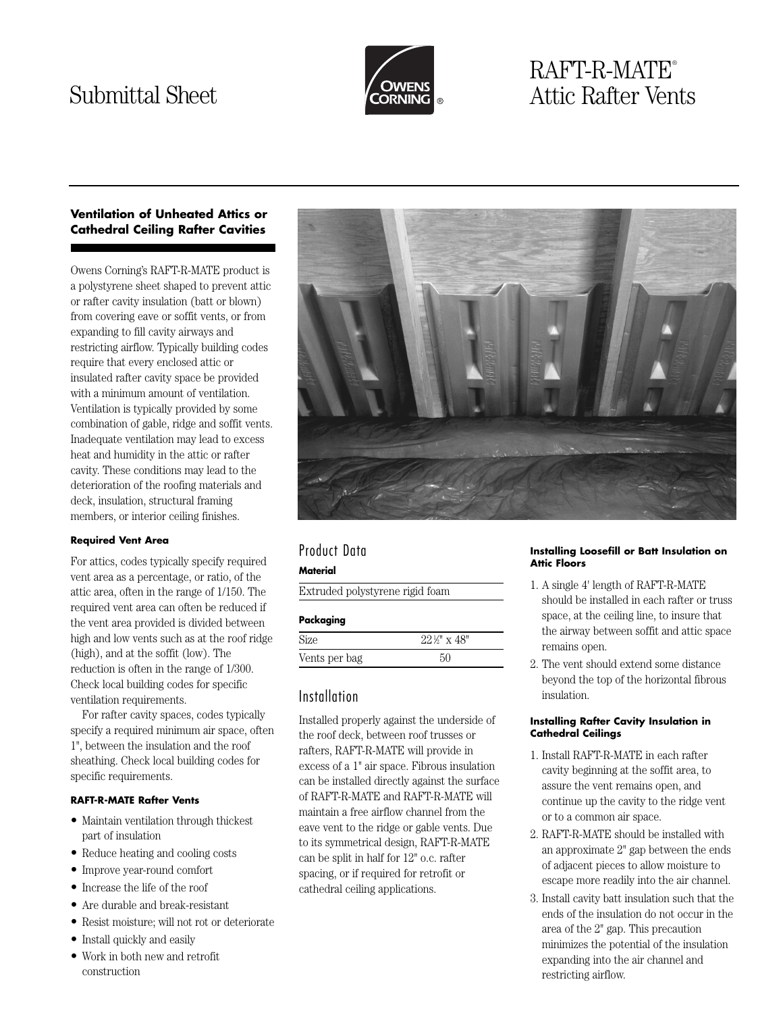

# RAFT-R-MATE® Submittal Sheet **Attic Rafter Vents**

# **Ventilation of Unheated Attics or Cathedral Ceiling Rafter Cavities**

Owens Corning's RAFT-R-MATE product is a polystyrene sheet shaped to prevent attic or rafter cavity insulation (batt or blown) from covering eave or soffit vents, or from expanding to fill cavity airways and restricting airflow. Typically building codes require that every enclosed attic or insulated rafter cavity space be provided with a minimum amount of ventilation. Ventilation is typically provided by some combination of gable, ridge and soffit vents. Inadequate ventilation may lead to excess heat and humidity in the attic or rafter cavity. These conditions may lead to the deterioration of the roofing materials and deck, insulation, structural framing members, or interior ceiling finishes.

# **Required Vent Area**

For attics, codes typically specify required vent area as a percentage, or ratio, of the attic area, often in the range of 1/150. The required vent area can often be reduced if the vent area provided is divided between high and low vents such as at the roof ridge (high), and at the soffit (low). The reduction is often in the range of 1/300. Check local building codes for specific ventilation requirements.

For rafter cavity spaces, codes typically specify a required minimum air space, often 1", between the insulation and the roof sheathing. Check local building codes for specific requirements.

# **RAFT-R-MATE Rafter Vents**

- Maintain ventilation through thickest part of insulation
- Reduce heating and cooling costs
- Improve year-round comfort
- Increase the life of the roof
- Are durable and break-resistant
- Resist moisture; will not rot or deteriorate
- Install quickly and easily
- Work in both new and retrofit construction



# Product Data

### **Material**

Extruded polystyrene rigid foam

# **Packaging**

| Size          | $22\frac{1}{2}$ " x 48" |
|---------------|-------------------------|
| Vents per bag |                         |

# Installation

Installed properly against the underside of the roof deck, between roof trusses or rafters, RAFT-R-MATE will provide in excess of a 1" air space. Fibrous insulation can be installed directly against the surface of RAFT-R-MATE and RAFT-R-MATE will maintain a free airflow channel from the eave vent to the ridge or gable vents. Due to its symmetrical design, RAFT-R-MATE can be split in half for 12" o.c. rafter spacing, or if required for retrofit or cathedral ceiling applications.

#### **Installing Loosefill or Batt Insulation on Attic Floors**

- 1. A single 4' length of RAFT-R-MATE should be installed in each rafter or truss space, at the ceiling line, to insure that the airway between soffit and attic space remains open.
- 2. The vent should extend some distance beyond the top of the horizontal fibrous insulation.

#### **Installing Rafter Cavity Insulation in Cathedral Ceilings**

- 1. Install RAFT-R-MATE in each rafter cavity beginning at the soffit area, to assure the vent remains open, and continue up the cavity to the ridge vent or to a common air space.
- 2. RAFT-R-MATE should be installed with an approximate 2" gap between the ends of adjacent pieces to allow moisture to escape more readily into the air channel.
- 3. Install cavity batt insulation such that the ends of the insulation do not occur in the area of the 2" gap. This precaution minimizes the potential of the insulation expanding into the air channel and restricting airflow.